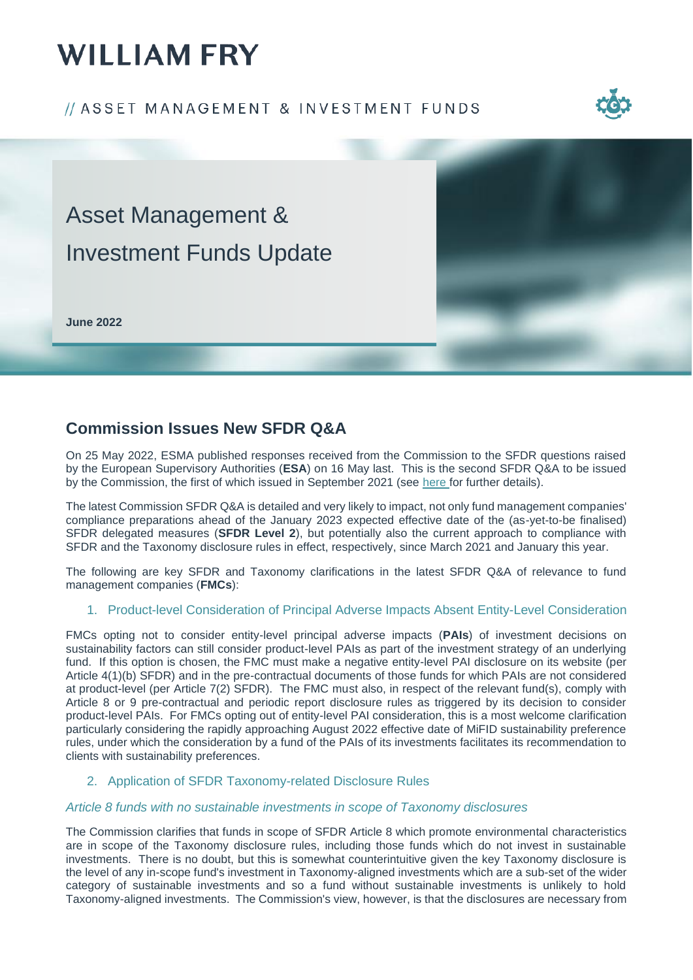# **WILLIAM FRY**

### // ASSET MANAGEMENT & INVESTMENT FUNDS





### **Commission Issues New SFDR Q&A**

On 25 May 2022, ESMA published responses received from the Commission to the SFDR questions raised by the European Supervisory Authorities (**ESA**) on 16 May last. This is the second SFDR Q&A to be issued by the Commission, the first of which issued in September 2021 (see [here](https://www.williamfry.com/newsandinsights/publications-article/2021/09/23/european-commission-sfdr-q-a-published) for further details).

The latest Commission SFDR Q&A is detailed and very likely to impact, not only fund management companies' compliance preparations ahead of the January 2023 expected effective date of the (as-yet-to-be finalised) SFDR delegated measures (**SFDR Level 2**), but potentially also the current approach to compliance with SFDR and the Taxonomy disclosure rules in effect, respectively, since March 2021 and January this year.

The following are key SFDR and Taxonomy clarifications in the latest SFDR Q&A of relevance to fund management companies (**FMCs**):

#### 1. Product-level Consideration of Principal Adverse Impacts Absent Entity-Level Consideration

FMCs opting not to consider entity-level principal adverse impacts (**PAIs**) of investment decisions on sustainability factors can still consider product-level PAIs as part of the investment strategy of an underlying fund. If this option is chosen, the FMC must make a negative entity-level PAI disclosure on its website (per Article 4(1)(b) SFDR) and in the pre-contractual documents of those funds for which PAIs are not considered at product-level (per Article 7(2) SFDR). The FMC must also, in respect of the relevant fund(s), comply with Article 8 or 9 pre-contractual and periodic report disclosure rules as triggered by its decision to consider product-level PAIs. For FMCs opting out of entity-level PAI consideration, this is a most welcome clarification particularly considering the rapidly approaching August 2022 effective date of MiFID sustainability preference rules, under which the consideration by a fund of the PAIs of its investments facilitates its recommendation to clients with sustainability preferences.

#### 2. Application of SFDR Taxonomy-related Disclosure Rules

#### *Article 8 funds with no sustainable investments in scope of Taxonomy disclosures*

The Commission clarifies that funds in scope of SFDR Article 8 which promote environmental characteristics are in scope of the Taxonomy disclosure rules, including those funds which do not invest in sustainable investments. There is no doubt, but this is somewhat counterintuitive given the key Taxonomy disclosure is the level of any in-scope fund's investment in Taxonomy-aligned investments which are a sub-set of the wider category of sustainable investments and so a fund without sustainable investments is unlikely to hold Taxonomy-aligned investments. The Commission's view, however, is that the disclosures are necessary from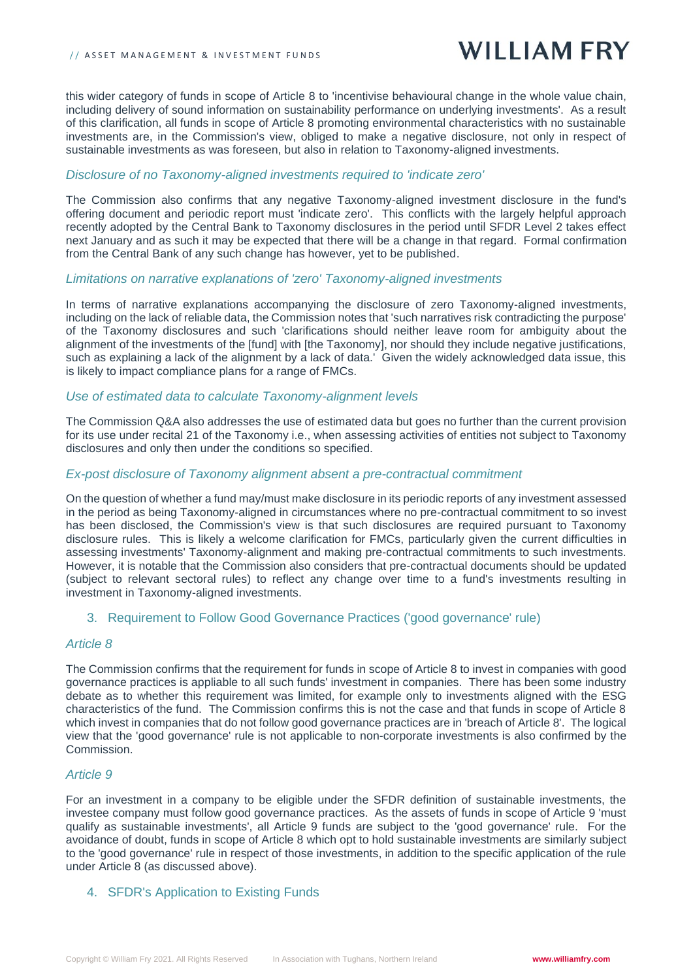## **WILLIAM FRY**

this wider category of funds in scope of Article 8 to 'incentivise behavioural change in the whole value chain, including delivery of sound information on sustainability performance on underlying investments'. As a result of this clarification, all funds in scope of Article 8 promoting environmental characteristics with no sustainable investments are, in the Commission's view, obliged to make a negative disclosure, not only in respect of sustainable investments as was foreseen, but also in relation to Taxonomy-aligned investments.

#### *Disclosure of no Taxonomy-aligned investments required to 'indicate zero'*

The Commission also confirms that any negative Taxonomy-aligned investment disclosure in the fund's offering document and periodic report must 'indicate zero'. This conflicts with the largely helpful approach recently adopted by the Central Bank to Taxonomy disclosures in the period until SFDR Level 2 takes effect next January and as such it may be expected that there will be a change in that regard. Formal confirmation from the Central Bank of any such change has however, yet to be published.

#### *Limitations on narrative explanations of 'zero' Taxonomy-aligned investments*

In terms of narrative explanations accompanying the disclosure of zero Taxonomy-aligned investments, including on the lack of reliable data, the Commission notes that 'such narratives risk contradicting the purpose' of the Taxonomy disclosures and such 'clarifications should neither leave room for ambiguity about the alignment of the investments of the [fund] with [the Taxonomy], nor should they include negative justifications, such as explaining a lack of the alignment by a lack of data.' Given the widely acknowledged data issue, this is likely to impact compliance plans for a range of FMCs.

#### *Use of estimated data to calculate Taxonomy-alignment levels*

The Commission Q&A also addresses the use of estimated data but goes no further than the current provision for its use under recital 21 of the Taxonomy i.e., when assessing activities of entities not subject to Taxonomy disclosures and only then under the conditions so specified.

#### *Ex-post disclosure of Taxonomy alignment absent a pre-contractual commitment*

On the question of whether a fund may/must make disclosure in its periodic reports of any investment assessed in the period as being Taxonomy-aligned in circumstances where no pre-contractual commitment to so invest has been disclosed, the Commission's view is that such disclosures are required pursuant to Taxonomy disclosure rules. This is likely a welcome clarification for FMCs, particularly given the current difficulties in assessing investments' Taxonomy-alignment and making pre-contractual commitments to such investments. However, it is notable that the Commission also considers that pre-contractual documents should be updated (subject to relevant sectoral rules) to reflect any change over time to a fund's investments resulting in investment in Taxonomy-aligned investments.

#### 3. Requirement to Follow Good Governance Practices ('good governance' rule)

#### *Article 8*

The Commission confirms that the requirement for funds in scope of Article 8 to invest in companies with good governance practices is appliable to all such funds' investment in companies. There has been some industry debate as to whether this requirement was limited, for example only to investments aligned with the ESG characteristics of the fund. The Commission confirms this is not the case and that funds in scope of Article 8 which invest in companies that do not follow good governance practices are in 'breach of Article 8'. The logical view that the 'good governance' rule is not applicable to non-corporate investments is also confirmed by the Commission.

#### *Article 9*

For an investment in a company to be eligible under the SFDR definition of sustainable investments, the investee company must follow good governance practices. As the assets of funds in scope of Article 9 'must qualify as sustainable investments', all Article 9 funds are subject to the 'good governance' rule. For the avoidance of doubt, funds in scope of Article 8 which opt to hold sustainable investments are similarly subject to the 'good governance' rule in respect of those investments, in addition to the specific application of the rule under Article 8 (as discussed above).

#### 4. SFDR's Application to Existing Funds